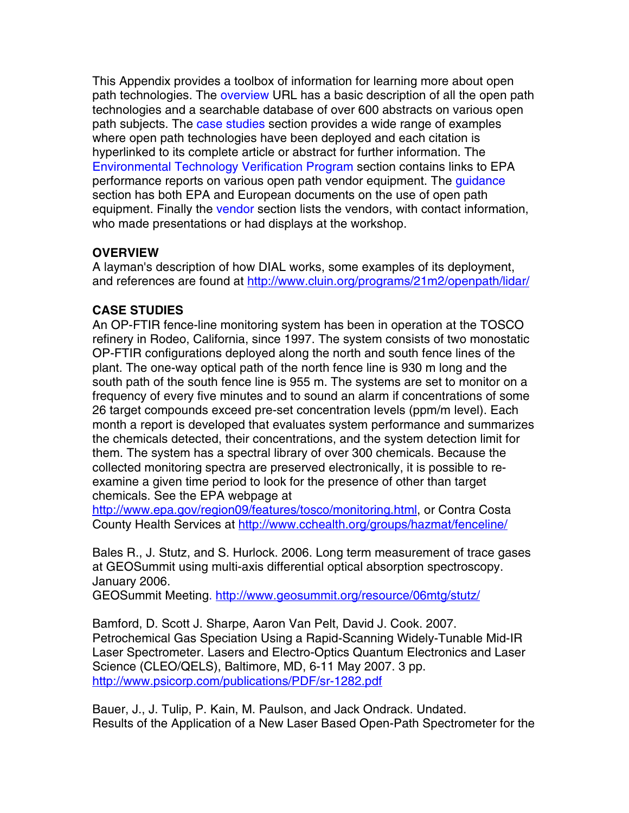This Appendix provides a toolbox of information for learning more about open path technologies. The overview URL has a basic description of all the open path technologies and a searchable database of over 600 abstracts on various open path subjects. The case studies section provides a wide range of examples where open path technologies have been deployed and each citation is hyperlinked to its complete article or abstract for further information. The [Environmental Technology Verification Program](#page-6-0) section contains links to EPA performance reports on various open path vendor equipment. The quidance section has both EPA and European documents on the use of open path equipment. Finally th[e vendor](#page-8-0) section lists the vendors, with contact information, who made presentations or had displays at the workshop.

## **OVERVIEW**

A layman's description of how DIAL works, some examples of its deployment, and references are found at http://www.cluin.org/programs/21m2/openpath/lidar/

# **CASE STUDIES**

An OP-FTIR fence-line monitoring system has been in operation at the TOSCO refinery in Rodeo, California, since 1997. The system consists of two monostatic OP-FTIR configurations deployed along the north and south fence lines of the plant. The one-way optical path of the north fence line is 930 m long and the south path of the south fence line is 955 m. The systems are set to monitor on a frequency of every five minutes and to sound an alarm if concentrations of some 26 target compounds exceed pre-set concentration levels (ppm/m level). Each month a report is developed that evaluates system performance and summarizes the chemicals detected, their concentrations, and the system detection limit for them. The system has a spectral library of over 300 chemicals. Because the collected monitoring spectra are preserved electronically, it is possible to reexamine a given time period to look for the presence of other than target chemicals. See the EPA webpage at

http://www.epa.gov/region09/features/tosco/monitoring.html, or Contra Costa County Health Services at http://www.cchealth.org/groups/hazmat/fenceline/

Bales R., J. Stutz, and S. Hurlock. 2006. Long term measurement of trace gases at GEOSummit using multi-axis differential optical absorption spectroscopy. January 2006.

GEOSummit Meeting. http://www.geosummit.org/resource/06mtg/stutz/

Bamford, D. Scott J. Sharpe, Aaron Van Pelt, David J. Cook. 2007. Petrochemical Gas Speciation Using a Rapid-Scanning Widely-Tunable Mid-IR Laser Spectrometer. Lasers and Electro-Optics Quantum Electronics and Laser Science (CLEO/QELS), Baltimore, MD, 6-11 May 2007. 3 pp. http://www.psicorp.com/publications/PDF/sr-1282.pdf

Bauer, J., J. Tulip, P. Kain, M. Paulson, and Jack Ondrack. Undated. Results of the Application of a New Laser Based Open-Path Spectrometer for the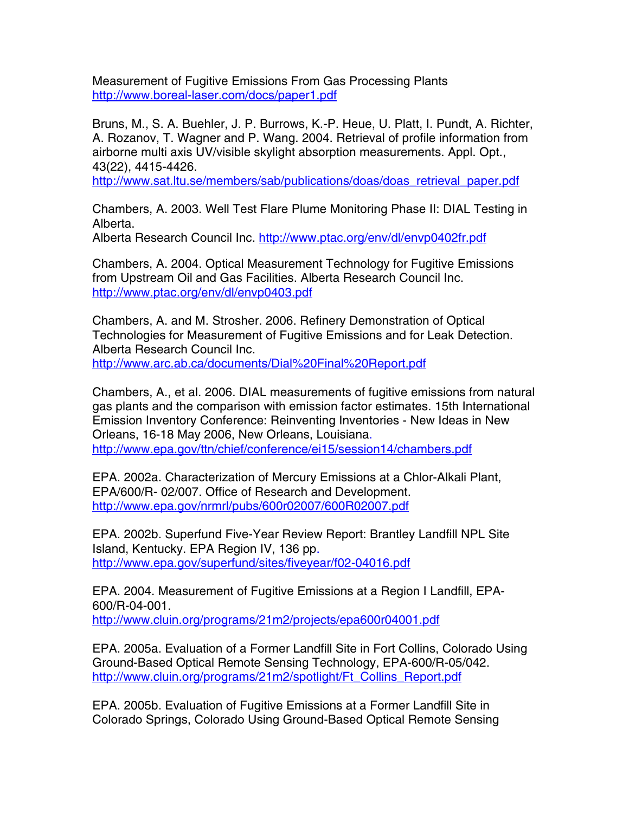Measurement of Fugitive Emissions From Gas Processing Plants http://www.boreal-laser.com/docs/paper1.pdf

Bruns, M., S. A. Buehler, J. P. Burrows, K.-P. Heue, U. Platt, I. Pundt, A. Richter, A. Rozanov, T. Wagner and P. Wang. 2004. Retrieval of profile information from airborne multi axis UV/visible skylight absorption measurements. Appl. Opt., 43(22), 4415-4426.

http://www.sat.ltu.se/members/sab/publications/doas/doas\_retrieval\_paper.pdf

Chambers, A. 2003. Well Test Flare Plume Monitoring Phase II: DIAL Testing in Alberta.

Alberta Research Council Inc. http://www.ptac.org/env/dl/envp0402fr.pdf

Chambers, A. 2004. Optical Measurement Technology for Fugitive Emissions from Upstream Oil and Gas Facilities. Alberta Research Council Inc. http://www.ptac.org/env/dl/envp0403.pdf

Chambers, A. and M. Strosher. 2006. Refinery Demonstration of Optical Technologies for Measurement of Fugitive Emissions and for Leak Detection. Alberta Research Council Inc. http://www.arc.ab.ca/documents/Dial%20Final%20Report.pdf

Chambers, A., et al. 2006. DIAL measurements of fugitive emissions from natural gas plants and the comparison with emission factor estimates. 15th International Emission Inventory Conference: Reinventing Inventories - New Ideas in New Orleans, 16-18 May 2006, New Orleans, Louisiana. http://www.epa.gov/ttn/chief/conference/ei15/session14/chambers.pdf

EPA. 2002a. Characterization of Mercury Emissions at a Chlor-Alkali Plant, EPA/600/R- 02/007. Office of Research and Development. http://www.epa.gov/nrmrl/pubs/600r02007/600R02007.pdf

EPA. 2002b. Superfund Five-Year Review Report: Brantley Landfill NPL Site Island, Kentucky. EPA Region IV, 136 pp. http://www.epa.gov/superfund/sites/fiveyear/f02-04016.pdf

EPA. 2004. Measurement of Fugitive Emissions at a Region I Landfill, EPA-600/R-04-001.

http://www.cluin.org/programs/21m2/projects/epa600r04001.pdf

EPA. 2005a. Evaluation of a Former Landfill Site in Fort Collins, Colorado Using Ground-Based Optical Remote Sensing Technology, EPA-600/R-05/042. http://www.cluin.org/programs/21m2/spotlight/Ft\_Collins\_Report.pdf

EPA. 2005b. Evaluation of Fugitive Emissions at a Former Landfill Site in Colorado Springs, Colorado Using Ground-Based Optical Remote Sensing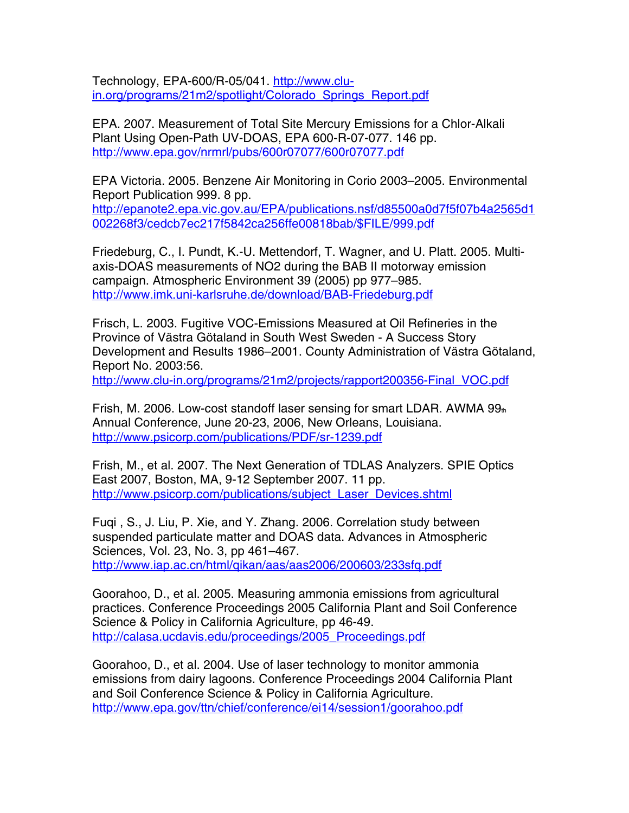Technology, EPA-600/R-05/041. http://www.cluin.org/programs/21m2/spotlight/Colorado\_Springs\_Report.pdf

EPA. 2007. Measurement of Total Site Mercury Emissions for a Chlor-Alkali Plant Using Open-Path UV-DOAS, EPA 600-R-07-077. 146 pp. http://www.epa.gov/nrmrl/pubs/600r07077/600r07077.pdf

EPA Victoria. 2005. Benzene Air Monitoring in Corio 2003–2005. Environmental Report Publication 999. 8 pp. http://epanote2.epa.vic.gov.au/EPA/publications.nsf/d85500a0d7f5f07b4a2565d1 002268f3/cedcb7ec217f5842ca256ffe00818bab/\$FILE/999.pdf

Friedeburg, C., I. Pundt, K.-U. Mettendorf, T. Wagner, and U. Platt. 2005. Multiaxis-DOAS measurements of NO2 during the BAB II motorway emission campaign. Atmospheric Environment 39 (2005) pp 977–985. http://www.imk.uni-karlsruhe.de/download/BAB-Friedeburg.pdf

Frisch, L. 2003. Fugitive VOC-Emissions Measured at Oil Refineries in the Province of Västra Götaland in South West Sweden - A Success Story Development and Results 1986–2001. County Administration of Västra Götaland, Report No. 2003:56.

http://www.clu-in.org/programs/21m2/projects/rapport200356-Final\_VOC.pdf

Frish, M. 2006. Low-cost standoff laser sensing for smart LDAR. AWMA  $99<sub>th</sub>$ Annual Conference, June 20-23, 2006, New Orleans, Louisiana. http://www.psicorp.com/publications/PDF/sr-1239.pdf

Frish, M., et al. 2007. The Next Generation of TDLAS Analyzers. SPIE Optics East 2007, Boston, MA, 9-12 September 2007. 11 pp. http://www.psicorp.com/publications/subject\_Laser\_Devices.shtml

Fuqi , S., J. Liu, P. Xie, and Y. Zhang. 2006. Correlation study between suspended particulate matter and DOAS data. Advances in Atmospheric Sciences, Vol. 23, No. 3, pp 461–467.

http://www.iap.ac.cn/html/qikan/aas/aas2006/200603/233sfq.pdf

Goorahoo, D., et al. 2005. Measuring ammonia emissions from agricultural practices. Conference Proceedings 2005 California Plant and Soil Conference Science & Policy in California Agriculture, pp 46-49. http://calasa.ucdavis.edu/proceedings/2005\_Proceedings.pdf

Goorahoo, D., et al. 2004. Use of laser technology to monitor ammonia emissions from dairy lagoons. Conference Proceedings 2004 California Plant and Soil Conference Science & Policy in California Agriculture. http://www.epa.gov/ttn/chief/conference/ei14/session1/goorahoo.pdf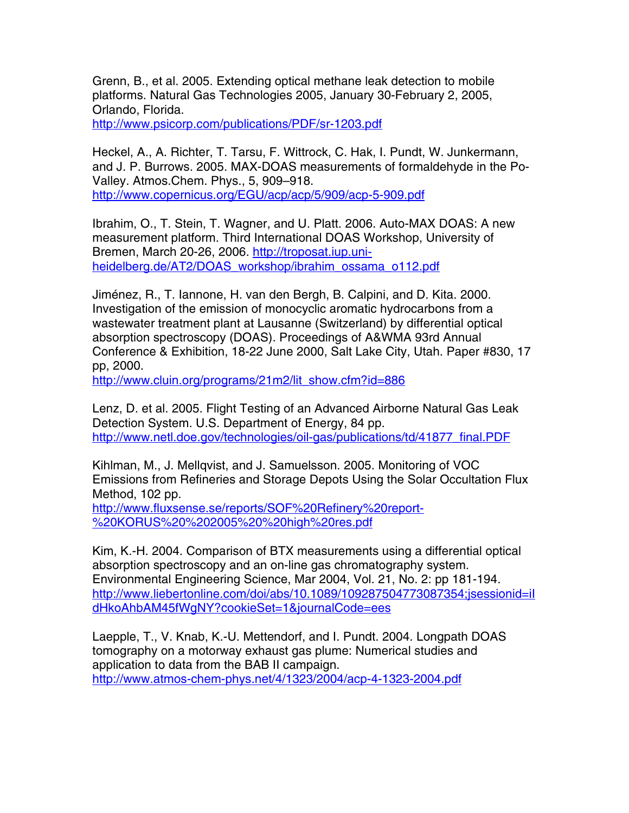Grenn, B., et al. 2005. Extending optical methane leak detection to mobile platforms. Natural Gas Technologies 2005, January 30-February 2, 2005, Orlando, Florida.

http://www.psicorp.com/publications/PDF/sr-1203.pdf

Heckel, A., A. Richter, T. Tarsu, F. Wittrock, C. Hak, I. Pundt, W. Junkermann, and J. P. Burrows. 2005. MAX-DOAS measurements of formaldehyde in the Po-Valley. Atmos.Chem. Phys., 5, 909–918. http://www.copernicus.org/EGU/acp/acp/5/909/acp-5-909.pdf

Ibrahim, O., T. Stein, T. Wagner, and U. Platt. 2006. Auto-MAX DOAS: A new measurement platform. Third International DOAS Workshop, University of Bremen, March 20-26, 2006. http://troposat.iup.uniheidelberg.de/AT2/DOAS\_workshop/ibrahim\_ossama\_o112.pdf

Jiménez, R., T. Iannone, H. van den Bergh, B. Calpini, and D. Kita. 2000. Investigation of the emission of monocyclic aromatic hydrocarbons from a wastewater treatment plant at Lausanne (Switzerland) by differential optical absorption spectroscopy (DOAS). Proceedings of A&WMA 93rd Annual Conference & Exhibition, 18-22 June 2000, Salt Lake City, Utah. Paper #830, 17 pp, 2000.

http://www.cluin.org/programs/21m2/lit\_show.cfm?id=886

Lenz, D. et al. 2005. Flight Testing of an Advanced Airborne Natural Gas Leak Detection System. U.S. Department of Energy, 84 pp. http://www.netl.doe.gov/technologies/oil-gas/publications/td/41877\_final.PDF

Kihlman, M., J. Mellqvist, and J. Samuelsson. 2005. Monitoring of VOC Emissions from Refineries and Storage Depots Using the Solar Occultation Flux Method, 102 pp.

http://www.fluxsense.se/reports/SOF%20Refinery%20report %20KORUS%20%202005%20%20high%20res.pdf

Kim, K.-H. 2004. Comparison of BTX measurements using a differential optical absorption spectroscopy and an on-line gas chromatography system. Environmental Engineering Science, Mar 2004, Vol. 21, No. 2: pp 181-194. http://www.liebertonline.com/doi/abs/10.1089/109287504773087354;jsessionid=il dHkoAhbAM45fWgNY?cookieSet=1&journalCode=ees

Laepple, T., V. Knab, K.-U. Mettendorf, and I. Pundt. 2004. Longpath DOAS tomography on a motorway exhaust gas plume: Numerical studies and application to data from the BAB II campaign. http://www.atmos-chem-phys.net/4/1323/2004/acp-4-1323-2004.pdf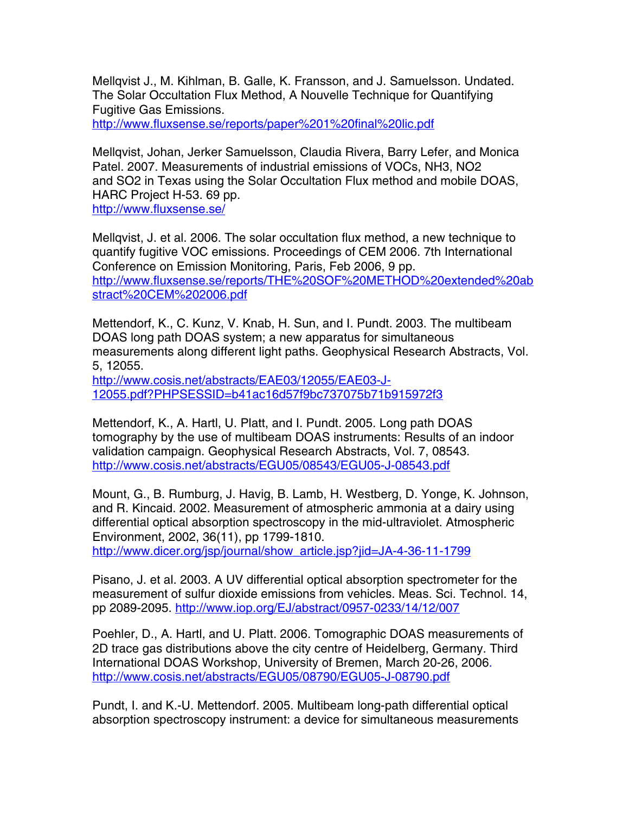Mellqvist J., M. Kihlman, B. Galle, K. Fransson, and J. Samuelsson. Undated. The Solar Occultation Flux Method, A Nouvelle Technique for Quantifying Fugitive Gas Emissions.

http://www.fluxsense.se/reports/paper%201%20final%20lic.pdf

Mellqvist, Johan, Jerker Samuelsson, Claudia Rivera, Barry Lefer, and Monica Patel. 2007. Measurements of industrial emissions of VOCs, NH3, NO2 and SO2 in Texas using the Solar Occultation Flux method and mobile DOAS, HARC Project H-53. 69 pp. http://www.fluxsense.se/

Mellqvist, J. et al. 2006. The solar occultation flux method, a new technique to quantify fugitive VOC emissions. Proceedings of CEM 2006. 7th International Conference on Emission Monitoring, Paris, Feb 2006, 9 pp. http://www.fluxsense.se/reports/THE%20SOF%20METHOD%20extended%20ab stract%20CEM%202006.pdf

Mettendorf, K., C. Kunz, V. Knab, H. Sun, and I. Pundt. 2003. The multibeam DOAS long path DOAS system; a new apparatus for simultaneous measurements along different light paths. Geophysical Research Abstracts, Vol. 5, 12055.

http://www.cosis.net/abstracts/EAE03/12055/EAE03-J-12055.pdf?PHPSESSID=b41ac16d57f9bc737075b71b915972f3

Mettendorf, K., A. Hartl, U. Platt, and I. Pundt. 2005. Long path DOAS tomography by the use of multibeam DOAS instruments: Results of an indoor validation campaign. Geophysical Research Abstracts, Vol. 7, 08543. http://www.cosis.net/abstracts/EGU05/08543/EGU05-J-08543.pdf

Mount, G., B. Rumburg, J. Havig, B. Lamb, H. Westberg, D. Yonge, K. Johnson, and R. Kincaid. 2002. Measurement of atmospheric ammonia at a dairy using differential optical absorption spectroscopy in the mid-ultraviolet. Atmospheric Environment, 2002, 36(11), pp 1799-1810. http://www.dicer.org/jsp/journal/show\_article.jsp?jid=JA-4-36-11-1799

Pisano, J. et al. 2003. A UV differential optical absorption spectrometer for the measurement of sulfur dioxide emissions from vehicles. Meas. Sci. Technol. 14, pp 2089-2095. http://www.iop.org/EJ/abstract/0957-0233/14/12/007

Poehler, D., A. Hartl, and U. Platt. 2006. Tomographic DOAS measurements of 2D trace gas distributions above the city centre of Heidelberg, Germany. Third International DOAS Workshop, University of Bremen, March 20-26, 2006. http://www.cosis.net/abstracts/EGU05/08790/EGU05-J-08790.pdf

Pundt, I. and K.-U. Mettendorf. 2005. Multibeam long-path differential optical absorption spectroscopy instrument: a device for simultaneous measurements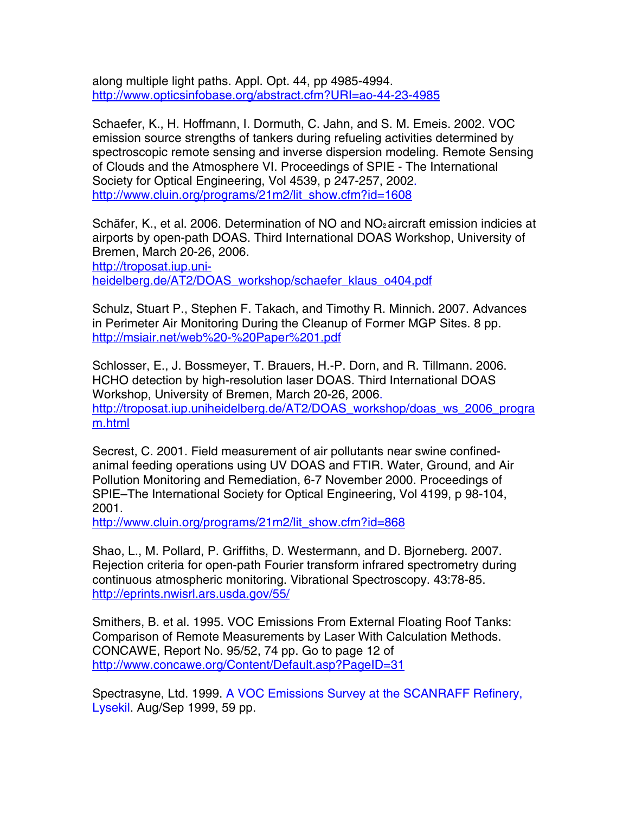along multiple light paths. Appl. Opt. 44, pp 4985-4994. http://www.opticsinfobase.org/abstract.cfm?URI=ao-44-23-4985

Schaefer, K., H. Hoffmann, I. Dormuth, C. Jahn, and S. M. Emeis. 2002. VOC emission source strengths of tankers during refueling activities determined by spectroscopic remote sensing and inverse dispersion modeling. Remote Sensing of Clouds and the Atmosphere VI. Proceedings of SPIE - The International Society for Optical Engineering, Vol 4539, p 247-257, 2002. http://www.cluin.org/programs/21m2/lit\_show.cfm?id=1608

Schäfer, K., et al. 2006. Determination of NO and NO<sub>2</sub> aircraft emission indicies at airports by open-path DOAS. Third International DOAS Workshop, University of Bremen, March 20-26, 2006. http://troposat.iup.uniheidelberg.de/AT2/DOAS\_workshop/schaefer\_klaus\_o404.pdf

Schulz, Stuart P., Stephen F. Takach, and Timothy R. Minnich. 2007. Advances in Perimeter Air Monitoring During the Cleanup of Former MGP Sites. 8 pp. http://msiair.net/web%20-%20Paper%201.pdf

Schlosser, E., J. Bossmeyer, T. Brauers, H.-P. Dorn, and R. Tillmann. 2006. HCHO detection by high-resolution laser DOAS. Third International DOAS Workshop, University of Bremen, March 20-26, 2006. http://troposat.iup.uniheidelberg.de/AT2/DOAS\_workshop/doas\_ws\_2006\_progra m.html

Secrest, C. 2001. Field measurement of air pollutants near swine confinedanimal feeding operations using UV DOAS and FTIR. Water, Ground, and Air Pollution Monitoring and Remediation, 6-7 November 2000. Proceedings of SPIE–The International Society for Optical Engineering, Vol 4199, p 98-104, 2001.

http://www.cluin.org/programs/21m2/lit\_show.cfm?id=868

Shao, L., M. Pollard, P. Griffiths, D. Westermann, and D. Bjorneberg. 2007. Rejection criteria for open-path Fourier transform infrared spectrometry during continuous atmospheric monitoring. Vibrational Spectroscopy. 43:78-85. http://eprints.nwisrl.ars.usda.gov/55/

Smithers, B. et al. 1995. VOC Emissions From External Floating Roof Tanks: Comparison of Remote Measurements by Laser With Calculation Methods. CONCAWE, Report No. 95/52, 74 pp. Go to page 12 of http://www.concawe.org/Content/Default.asp?PageID=31

Spectrasyne, Ltd. 1999. A VOC Emissions Survey at the SCANRAFF Refinery, Lysekil. Aug/Sep 1999, 59 pp.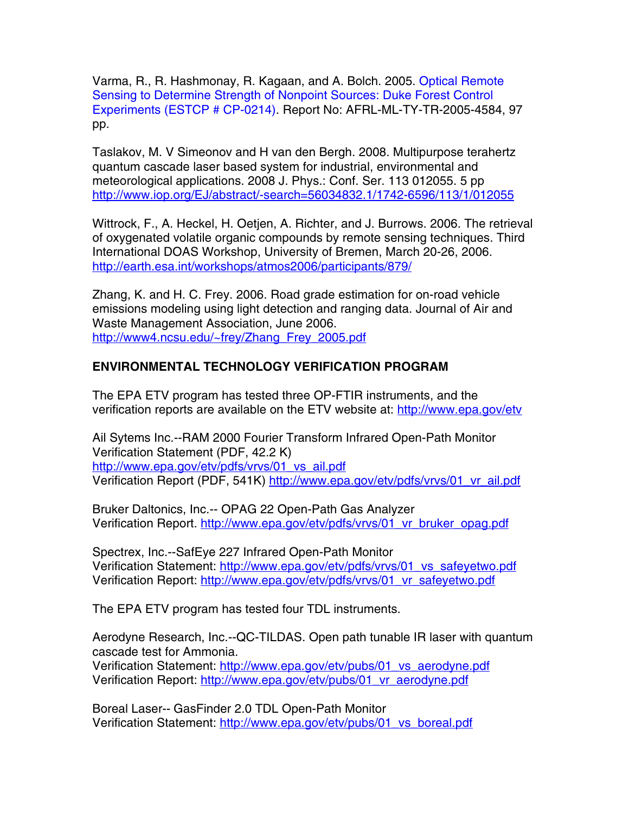<span id="page-6-0"></span>Varma, R., R. Hashmonay, R. Kagaan, and A. Bolch. 2005. Optical Remote Sensing to Determine Strength of Nonpoint Sources: Duke Forest Control Experiments (ESTCP # CP-0214). Report No: AFRL-ML-TY-TR-2005-4584, 97 pp.

Taslakov, M. V Simeonov and H van den Bergh. 2008. Multipurpose terahertz quantum cascade laser based system for industrial, environmental and meteorological applications. 2008 J. Phys.: Conf. Ser. 113 012055. 5 pp http://www.iop.org/EJ/abstract/-search=56034832.1/1742-6596/113/1/012055

Wittrock, F., A. Heckel, H. Oetjen, A. Richter, and J. Burrows. 2006. The retrieval of oxygenated volatile organic compounds by remote sensing techniques. Third International DOAS Workshop, University of Bremen, March 20-26, 2006. http://earth.esa.int/workshops/atmos2006/participants/879/

Zhang, K. and H. C. Frey. 2006. Road grade estimation for on-road vehicle emissions modeling using light detection and ranging data. Journal of Air and Waste Management Association, June 2006. http://www4.ncsu.edu/~frey/Zhang\_Frey\_2005.pdf

## **ENVIRONMENTAL TECHNOLOGY VERIFICATION PROGRAM**

The EPA ETV program has tested three OP-FTIR instruments, and the verification reports are available on the ETV website at: http://www.epa.gov/etv

Ail Sytems Inc.--RAM 2000 Fourier Transform Infrared Open-Path Monitor Verification Statement (PDF, 42.2 K) http://www.epa.gov/etv/pdfs/vrvs/01\_vs\_ail.pdf Verification Report (PDF, 541K) http://www.epa.gov/etv/pdfs/vrvs/01\_vr\_ail.pdf

Bruker Daltonics, Inc.-- OPAG 22 Open-Path Gas Analyzer Verification Report. http://www.epa.gov/etv/pdfs/vrvs/01\_vr\_bruker\_opag.pdf

Spectrex, Inc.--SafEye 227 Infrared Open-Path Monitor Verification Statement: http://www.epa.gov/etv/pdfs/vrvs/01\_vs\_safeyetwo.pdf Verification Report: http://www.epa.gov/etv/pdfs/vrvs/01\_vr\_safeyetwo.pdf

The EPA ETV program has tested four TDL instruments.

Aerodyne Research, Inc.--QC-TILDAS. Open path tunable IR laser with quantum cascade test for Ammonia.

Verification Statement: http://www.epa.gov/etv/pubs/01\_vs\_aerodyne.pdf Verification Report: http://www.epa.gov/etv/pubs/01\_vr\_aerodyne.pdf

Boreal Laser-- GasFinder 2.0 TDL Open-Path Monitor Verification Statement: http://www.epa.gov/etv/pubs/01\_vs\_boreal.pdf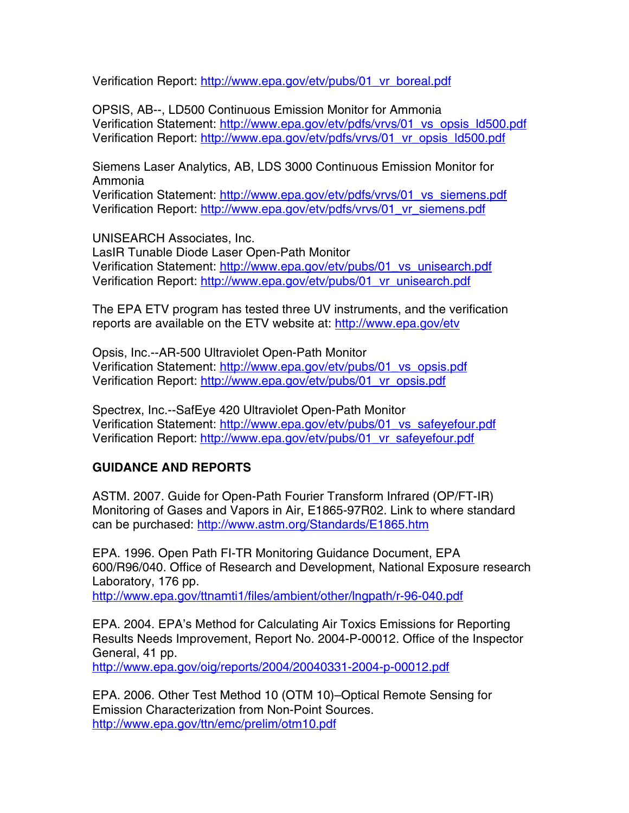<span id="page-7-0"></span>Verification Report: http://www.epa.gov/etv/pubs/01\_vr\_boreal.pdf

OPSIS, AB--, LD500 Continuous Emission Monitor for Ammonia Verification Statement: http://www.epa.gov/etv/pdfs/vrvs/01\_vs\_opsis\_ld500.pdf Verification Report: http://www.epa.gov/etv/pdfs/vrvs/01\_vr\_opsis\_ld500.pdf

Siemens Laser Analytics, AB, LDS 3000 Continuous Emission Monitor for Ammonia

Verification Statement: http://www.epa.gov/etv/pdfs/vrvs/01\_vs\_siemens.pdf Verification Report: http://www.epa.gov/etv/pdfs/vrvs/01\_vr\_siemens.pdf

UNISEARCH Associates, Inc. LasIR Tunable Diode Laser Open-Path Monitor Verification Statement: http://www.epa.gov/etv/pubs/01\_vs\_unisearch.pdf Verification Report: http://www.epa.gov/etv/pubs/01\_vr\_unisearch.pdf

The EPA ETV program has tested three UV instruments, and the verification reports are available on the ETV website at: http://www.epa.gov/etv

Opsis, Inc.--AR-500 Ultraviolet Open-Path Monitor Verification Statement: http://www.epa.gov/etv/pubs/01\_vs\_opsis.pdf Verification Report: http://www.epa.gov/etv/pubs/01\_vr\_opsis.pdf

Spectrex, Inc.--SafEye 420 Ultraviolet Open-Path Monitor Verification Statement: http://www.epa.gov/etv/pubs/01\_vs\_safeyefour.pdf Verification Report: http://www.epa.gov/etv/pubs/01\_vr\_safeyefour.pdf

## **GUIDANCE AND REPORTS**

ASTM. 2007. Guide for Open-Path Fourier Transform Infrared (OP/FT-IR) Monitoring of Gases and Vapors in Air, E1865-97R02. Link to where standard can be purchased: http://www.astm.org/Standards/E1865.htm

EPA. 1996. Open Path FI-TR Monitoring Guidance Document, EPA 600/R96/040. Office of Research and Development, National Exposure research Laboratory, 176 pp. http://www.epa.gov/ttnamti1/files/ambient/other/lngpath/r-96-040.pdf

EPA. 2004. EPA's Method for Calculating Air Toxics Emissions for Reporting Results Needs Improvement, Report No. 2004-P-00012. Office of the Inspector General, 41 pp.

http://www.epa.gov/oig/reports/2004/20040331-2004-p-00012.pdf

EPA. 2006. Other Test Method 10 (OTM 10)–Optical Remote Sensing for Emission Characterization from Non-Point Sources. http://www.epa.gov/ttn/emc/prelim/otm10.pdf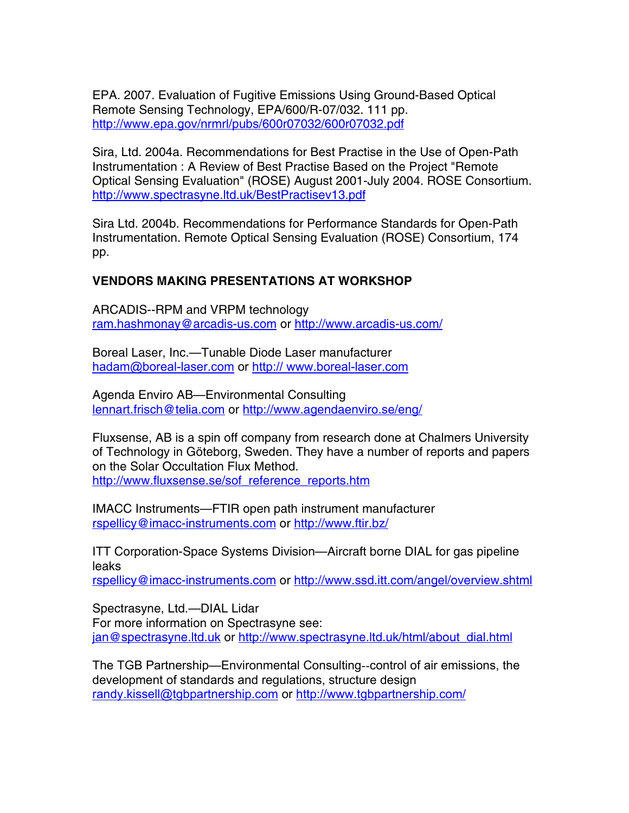<span id="page-8-0"></span>EPA. 2007. Evaluation of Fugitive Emissions Using Ground-Based Optical Remote Sensing Technology, EPA/600/R-07/032. 111 pp. http://www.epa.gov/nrmrl/pubs/600r07032/600r07032.pdf

Sira, Ltd. 2004a. Recommendations for Best Practise in the Use of Open-Path Instrumentation : A Review of Best Practise Based on the Project "Remote Optical Sensing Evaluation" (ROSE) August 2001-July 2004. ROSE Consortium. http://www.spectrasyne.ltd.uk/BestPractisev13.pdf

Sira Ltd. 2004b. Recommendations for Performance Standards for Open-Path Instrumentation. Remote Optical Sensing Evaluation (ROSE) Consortium, 174 pp.

#### **VENDORS MAKING PRESENTATIONS AT WORKSHOP**

ARCADIS--RPM and VRPM technology ram.hashmonay@arcadis-us.com or http://www.arcadis-us.com/

Boreal Laser, Inc.—Tunable Diode Laser manufacturer hadam@boreal-laser.com or http:// www.boreal-laser.com

Agenda Enviro AB—Environmental Consulting lennart.frisch@telia.com or http://www.agendaenviro.se/eng/

Fluxsense, AB is a spin off company from research done at Chalmers University of Technology in Göteborg, Sweden. They have a number of reports and papers on the Solar Occultation Flux Method. http://www.fluxsense.se/sof\_reference\_reports.htm

IMACC Instruments—FTIR open path instrument manufacturer rspellicy@imacc-instruments.com or http://www.ftir.bz/

ITT Corporation-Space Systems Division—Aircraft borne DIAL for gas pipeline leaks rspellicy@imacc-instruments.com or http://www.ssd.itt.com/angel/overview.shtml

Spectrasyne, Ltd.—DIAL Lidar For more information on Spectrasyne see: jan@spectrasyne.ltd.uk or http://www.spectrasyne.ltd.uk/html/about\_dial.html

The TGB Partnership—Environmental Consulting--control of air emissions, the development of standards and regulations, structure design randy.kissell@tgbpartnership.com or http://www.tgbpartnership.com/